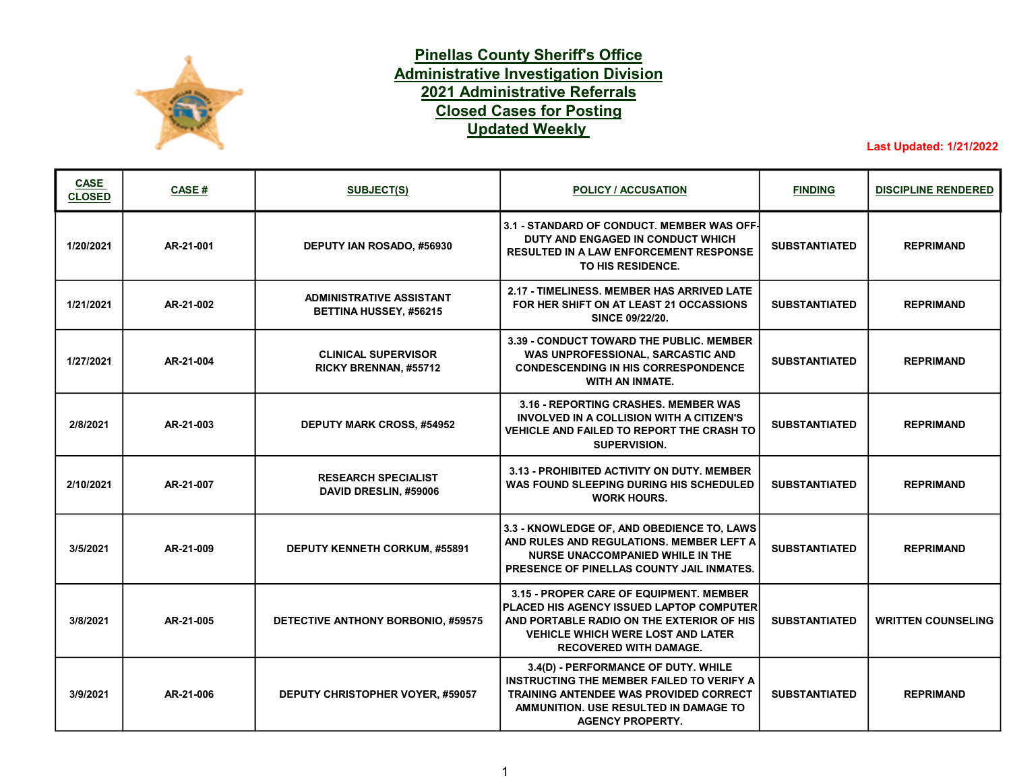

## Pinellas County Sheriff's Office Administrative Investigation Division Closed Cases for Posting Updated Weekly 2021 Administrative Referrals

Last Updated: 1/21/2022

| <b>CASE</b><br><b>CLOSED</b> | CASE #    | <b>SUBJECT(S)</b>                                         | <b>POLICY / ACCUSATION</b>                                                                                                                                                                                    | <b>FINDING</b>       | <b>DISCIPLINE RENDERED</b> |
|------------------------------|-----------|-----------------------------------------------------------|---------------------------------------------------------------------------------------------------------------------------------------------------------------------------------------------------------------|----------------------|----------------------------|
| 1/20/2021                    | AR-21-001 | DEPUTY IAN ROSADO, #56930                                 | 3.1 - STANDARD OF CONDUCT. MEMBER WAS OFF-<br>DUTY AND ENGAGED IN CONDUCT WHICH<br><b>RESULTED IN A LAW ENFORCEMENT RESPONSE</b><br>TO HIS RESIDENCE.                                                         | <b>SUBSTANTIATED</b> | <b>REPRIMAND</b>           |
| 1/21/2021                    | AR-21-002 | <b>ADMINISTRATIVE ASSISTANT</b><br>BETTINA HUSSEY, #56215 | 2.17 - TIMELINESS, MEMBER HAS ARRIVED LATE<br>FOR HER SHIFT ON AT LEAST 21 OCCASSIONS<br>SINCE 09/22/20.                                                                                                      | <b>SUBSTANTIATED</b> | <b>REPRIMAND</b>           |
| 1/27/2021                    | AR-21-004 | <b>CLINICAL SUPERVISOR</b><br>RICKY BRENNAN, #55712       | 3.39 - CONDUCT TOWARD THE PUBLIC. MEMBER<br>WAS UNPROFESSIONAL, SARCASTIC AND<br><b>CONDESCENDING IN HIS CORRESPONDENCE</b><br>WITH AN INMATE.                                                                | <b>SUBSTANTIATED</b> | <b>REPRIMAND</b>           |
| 2/8/2021                     | AR-21-003 | DEPUTY MARK CROSS, #54952                                 | 3.16 - REPORTING CRASHES, MEMBER WAS<br>INVOLVED IN A COLLISION WITH A CITIZEN'S<br><b>VEHICLE AND FAILED TO REPORT THE CRASH TO</b><br><b>SUPERVISION.</b>                                                   | <b>SUBSTANTIATED</b> | <b>REPRIMAND</b>           |
| 2/10/2021                    | AR-21-007 | <b>RESEARCH SPECIALIST</b><br>DAVID DRESLIN, #59006       | 3.13 - PROHIBITED ACTIVITY ON DUTY, MEMBER<br>WAS FOUND SLEEPING DURING HIS SCHEDULED<br><b>WORK HOURS.</b>                                                                                                   | <b>SUBSTANTIATED</b> | <b>REPRIMAND</b>           |
| 3/5/2021                     | AR-21-009 | DEPUTY KENNETH CORKUM, #55891                             | 3.3 - KNOWLEDGE OF, AND OBEDIENCE TO, LAWS<br>AND RULES AND REGULATIONS. MEMBER LEFT A<br><b>NURSE UNACCOMPANIED WHILE IN THE</b><br><b>PRESENCE OF PINELLAS COUNTY JAIL INMATES.</b>                         | <b>SUBSTANTIATED</b> | <b>REPRIMAND</b>           |
| 3/8/2021                     | AR-21-005 | DETECTIVE ANTHONY BORBONIO, #59575                        | 3.15 - PROPER CARE OF EQUIPMENT. MEMBER<br>PLACED HIS AGENCY ISSUED LAPTOP COMPUTER<br>AND PORTABLE RADIO ON THE EXTERIOR OF HIS<br><b>VEHICLE WHICH WERE LOST AND LATER</b><br><b>RECOVERED WITH DAMAGE.</b> | <b>SUBSTANTIATED</b> | <b>WRITTEN COUNSELING</b>  |
| 3/9/2021                     | AR-21-006 | DEPUTY CHRISTOPHER VOYER, #59057                          | 3.4(D) - PERFORMANCE OF DUTY. WHILE<br><b>INSTRUCTING THE MEMBER FAILED TO VERIFY A</b><br><b>TRAINING ANTENDEE WAS PROVIDED CORRECT</b><br>AMMUNITION. USE RESULTED IN DAMAGE TO<br><b>AGENCY PROPERTY.</b>  | <b>SUBSTANTIATED</b> | <b>REPRIMAND</b>           |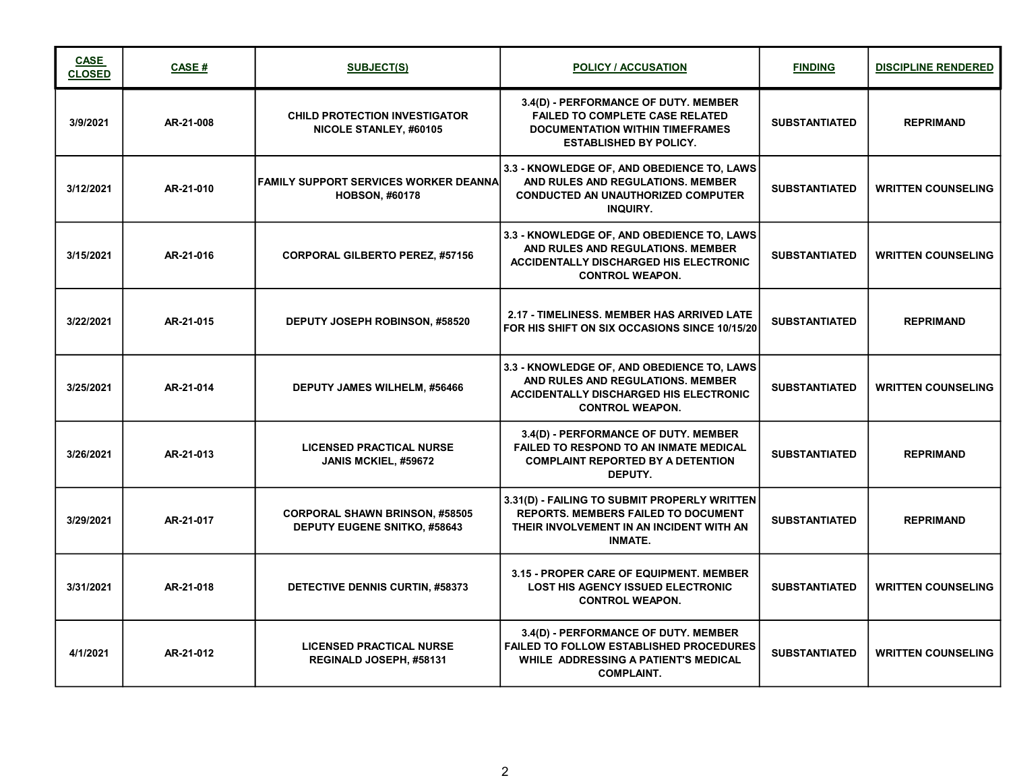| <b>CASE</b><br><b>CLOSED</b> | <b>CASE#</b> | <b>SUBJECT(S)</b>                                                            | <b>POLICY / ACCUSATION</b>                                                                                                                                 | <b>FINDING</b>       | <b>DISCIPLINE RENDERED</b> |
|------------------------------|--------------|------------------------------------------------------------------------------|------------------------------------------------------------------------------------------------------------------------------------------------------------|----------------------|----------------------------|
| 3/9/2021                     | AR-21-008    | <b>CHILD PROTECTION INVESTIGATOR</b><br>NICOLE STANLEY, #60105               | 3.4(D) - PERFORMANCE OF DUTY. MEMBER<br><b>FAILED TO COMPLETE CASE RELATED</b><br><b>DOCUMENTATION WITHIN TIMEFRAMES</b><br><b>ESTABLISHED BY POLICY.</b>  | <b>SUBSTANTIATED</b> | <b>REPRIMAND</b>           |
| 3/12/2021                    | AR-21-010    | <b>FAMILY SUPPORT SERVICES WORKER DEANNAL</b><br><b>HOBSON, #60178</b>       | 3.3 - KNOWLEDGE OF, AND OBEDIENCE TO, LAWS<br>AND RULES AND REGULATIONS. MEMBER<br><b>CONDUCTED AN UNAUTHORIZED COMPUTER</b><br><b>INQUIRY.</b>            | <b>SUBSTANTIATED</b> | <b>WRITTEN COUNSELING</b>  |
| 3/15/2021                    | AR-21-016    | <b>CORPORAL GILBERTO PEREZ, #57156</b>                                       | 3.3 - KNOWLEDGE OF, AND OBEDIENCE TO, LAWS<br>AND RULES AND REGULATIONS. MEMBER<br><b>ACCIDENTALLY DISCHARGED HIS ELECTRONIC</b><br><b>CONTROL WEAPON.</b> | <b>SUBSTANTIATED</b> | <b>WRITTEN COUNSELING</b>  |
| 3/22/2021                    | AR-21-015    | <b>DEPUTY JOSEPH ROBINSON, #58520</b>                                        | 2.17 - TIMELINESS. MEMBER HAS ARRIVED LATE<br>FOR HIS SHIFT ON SIX OCCASIONS SINCE 10/15/20                                                                | <b>SUBSTANTIATED</b> | <b>REPRIMAND</b>           |
| 3/25/2021                    | AR-21-014    | <b>DEPUTY JAMES WILHELM, #56466</b>                                          | 3.3 - KNOWLEDGE OF, AND OBEDIENCE TO, LAWS<br>AND RULES AND REGULATIONS. MEMBER<br><b>ACCIDENTALLY DISCHARGED HIS ELECTRONIC</b><br><b>CONTROL WEAPON.</b> | <b>SUBSTANTIATED</b> | <b>WRITTEN COUNSELING</b>  |
| 3/26/2021                    | AR-21-013    | <b>LICENSED PRACTICAL NURSE</b><br>JANIS MCKIEL, #59672                      | 3.4(D) - PERFORMANCE OF DUTY. MEMBER<br><b>FAILED TO RESPOND TO AN INMATE MEDICAL</b><br><b>COMPLAINT REPORTED BY A DETENTION</b><br>DEPUTY.               | <b>SUBSTANTIATED</b> | <b>REPRIMAND</b>           |
| 3/29/2021                    | AR-21-017    | <b>CORPORAL SHAWN BRINSON, #58505</b><br><b>DEPUTY EUGENE SNITKO, #58643</b> | 3.31(D) - FAILING TO SUBMIT PROPERLY WRITTEN<br><b>REPORTS. MEMBERS FAILED TO DOCUMENT</b><br>THEIR INVOLVEMENT IN AN INCIDENT WITH AN<br><b>INMATE.</b>   | <b>SUBSTANTIATED</b> | <b>REPRIMAND</b>           |
| 3/31/2021                    | AR-21-018    | DETECTIVE DENNIS CURTIN, #58373                                              | 3.15 - PROPER CARE OF EQUIPMENT. MEMBER<br><b>LOST HIS AGENCY ISSUED ELECTRONIC</b><br><b>CONTROL WEAPON.</b>                                              | <b>SUBSTANTIATED</b> | <b>WRITTEN COUNSELING</b>  |
| 4/1/2021                     | AR-21-012    | <b>LICENSED PRACTICAL NURSE</b><br>REGINALD JOSEPH, #58131                   | 3.4(D) - PERFORMANCE OF DUTY. MEMBER<br><b>FAILED TO FOLLOW ESTABLISHED PROCEDURES</b><br>WHILE ADDRESSING A PATIENT'S MEDICAL<br><b>COMPLAINT.</b>        | <b>SUBSTANTIATED</b> | <b>WRITTEN COUNSELING</b>  |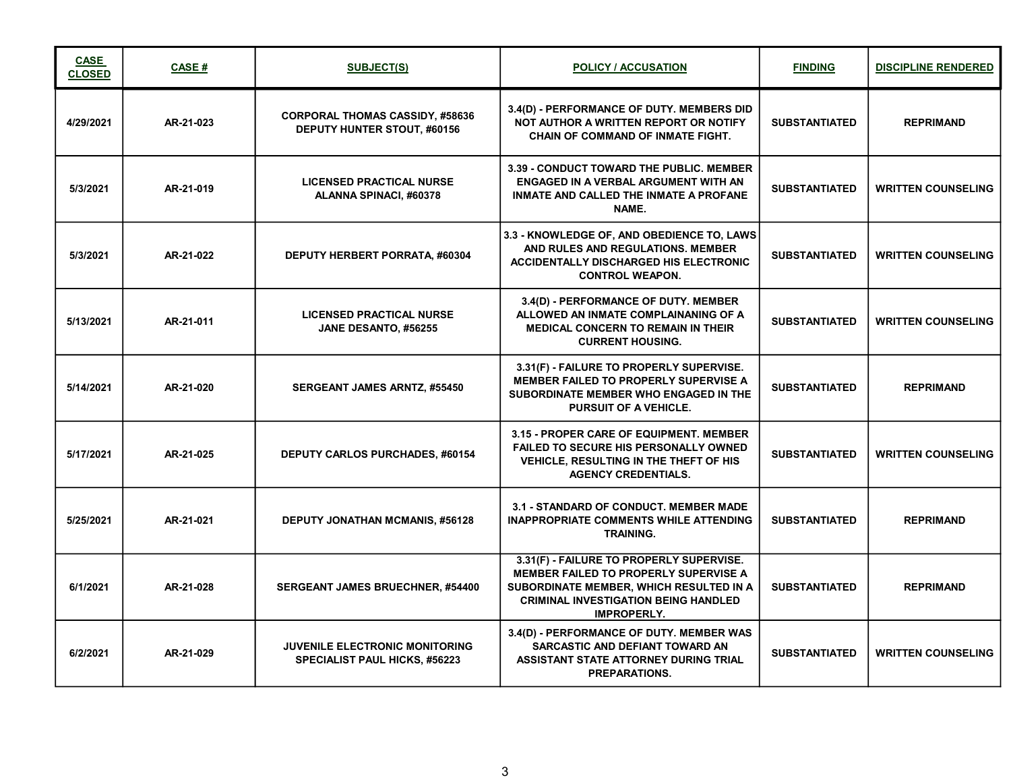| <b>CASE</b><br><b>CLOSED</b> | <b>CASE#</b> | <b>SUBJECT(S)</b>                                                             | <b>POLICY / ACCUSATION</b>                                                                                                                                                                               | <b>FINDING</b>       | <b>DISCIPLINE RENDERED</b> |
|------------------------------|--------------|-------------------------------------------------------------------------------|----------------------------------------------------------------------------------------------------------------------------------------------------------------------------------------------------------|----------------------|----------------------------|
| 4/29/2021                    | AR-21-023    | <b>CORPORAL THOMAS CASSIDY, #58636</b><br><b>DEPUTY HUNTER STOUT, #60156</b>  | 3.4(D) - PERFORMANCE OF DUTY. MEMBERS DID<br>NOT AUTHOR A WRITTEN REPORT OR NOTIFY<br><b>CHAIN OF COMMAND OF INMATE FIGHT.</b>                                                                           | <b>SUBSTANTIATED</b> | <b>REPRIMAND</b>           |
| 5/3/2021                     | AR-21-019    | <b>LICENSED PRACTICAL NURSE</b><br>ALANNA SPINACI, #60378                     | 3.39 - CONDUCT TOWARD THE PUBLIC. MEMBER<br>ENGAGED IN A VERBAL ARGUMENT WITH AN<br>INMATE AND CALLED THE INMATE A PROFANE<br>NAME.                                                                      | <b>SUBSTANTIATED</b> | <b>WRITTEN COUNSELING</b>  |
| 5/3/2021                     | AR-21-022    | DEPUTY HERBERT PORRATA, #60304                                                | 3.3 - KNOWLEDGE OF, AND OBEDIENCE TO, LAWS<br>AND RULES AND REGULATIONS, MEMBER<br><b>ACCIDENTALLY DISCHARGED HIS ELECTRONIC</b><br><b>CONTROL WEAPON.</b>                                               | <b>SUBSTANTIATED</b> | <b>WRITTEN COUNSELING</b>  |
| 5/13/2021                    | AR-21-011    | <b>LICENSED PRACTICAL NURSE</b><br>JANE DESANTO, #56255                       | 3.4(D) - PERFORMANCE OF DUTY. MEMBER<br>ALLOWED AN INMATE COMPLAINANING OF A<br><b>MEDICAL CONCERN TO REMAIN IN THEIR</b><br><b>CURRENT HOUSING.</b>                                                     | <b>SUBSTANTIATED</b> | <b>WRITTEN COUNSELING</b>  |
| 5/14/2021                    | AR-21-020    | <b>SERGEANT JAMES ARNTZ, #55450</b>                                           | 3.31(F) - FAILURE TO PROPERLY SUPERVISE.<br><b>MEMBER FAILED TO PROPERLY SUPERVISE A</b><br>SUBORDINATE MEMBER WHO ENGAGED IN THE<br><b>PURSUIT OF A VEHICLE.</b>                                        | <b>SUBSTANTIATED</b> | <b>REPRIMAND</b>           |
| 5/17/2021                    | AR-21-025    | <b>DEPUTY CARLOS PURCHADES, #60154</b>                                        | 3.15 - PROPER CARE OF EQUIPMENT. MEMBER<br><b>FAILED TO SECURE HIS PERSONALLY OWNED</b><br><b>VEHICLE, RESULTING IN THE THEFT OF HIS</b><br><b>AGENCY CREDENTIALS.</b>                                   | <b>SUBSTANTIATED</b> | <b>WRITTEN COUNSELING</b>  |
| 5/25/2021                    | AR-21-021    | <b>DEPUTY JONATHAN MCMANIS, #56128</b>                                        | 3.1 - STANDARD OF CONDUCT. MEMBER MADE<br><b>INAPPROPRIATE COMMENTS WHILE ATTENDING</b><br><b>TRAINING.</b>                                                                                              | <b>SUBSTANTIATED</b> | <b>REPRIMAND</b>           |
| 6/1/2021                     | AR-21-028    | <b>SERGEANT JAMES BRUECHNER, #54400</b>                                       | 3.31(F) - FAILURE TO PROPERLY SUPERVISE.<br><b>MEMBER FAILED TO PROPERLY SUPERVISE A</b><br>SUBORDINATE MEMBER, WHICH RESULTED IN A<br><b>CRIMINAL INVESTIGATION BEING HANDLED</b><br><b>IMPROPERLY.</b> | <b>SUBSTANTIATED</b> | <b>REPRIMAND</b>           |
| 6/2/2021                     | AR-21-029    | <b>JUVENILE ELECTRONIC MONITORING</b><br><b>SPECIALIST PAUL HICKS, #56223</b> | 3.4(D) - PERFORMANCE OF DUTY. MEMBER WAS<br>SARCASTIC AND DEFIANT TOWARD AN<br>ASSISTANT STATE ATTORNEY DURING TRIAL<br><b>PREPARATIONS.</b>                                                             | <b>SUBSTANTIATED</b> | <b>WRITTEN COUNSELING</b>  |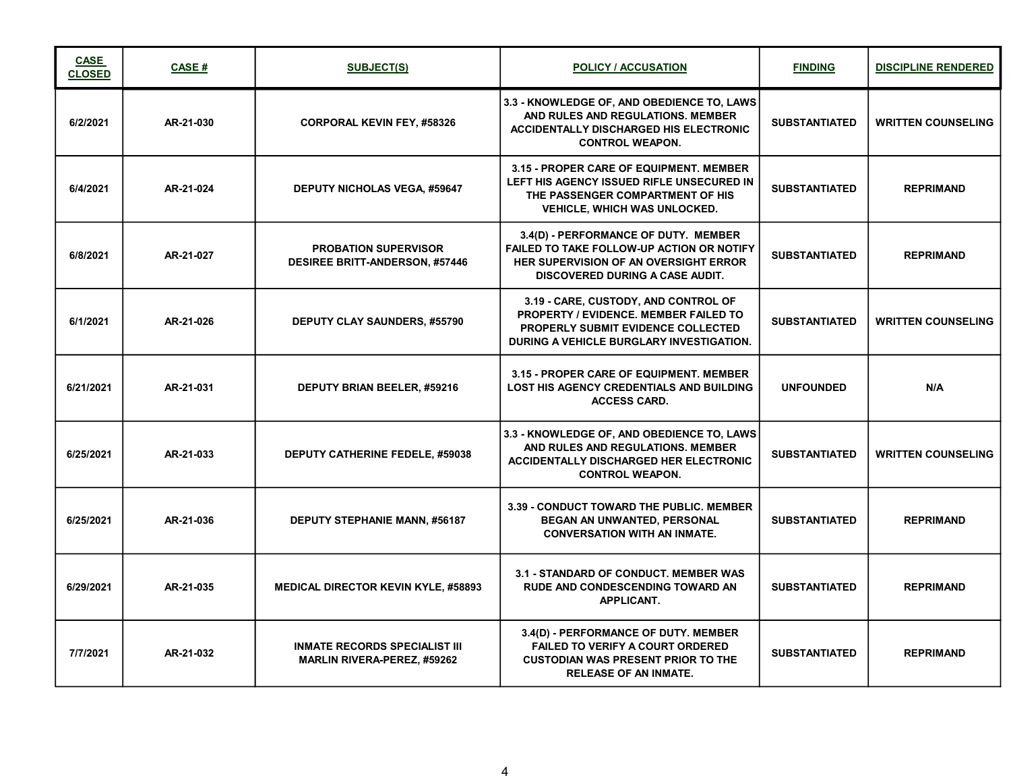| <b>CASE</b><br><b>CLOSED</b> | CASE#     | <b>SUBJECT(S)</b>                                                          | <b>POLICY / ACCUSATION</b>                                                                                                                                                         | <b>FINDING</b>       | <b>DISCIPLINE RENDERED</b> |
|------------------------------|-----------|----------------------------------------------------------------------------|------------------------------------------------------------------------------------------------------------------------------------------------------------------------------------|----------------------|----------------------------|
| 6/2/2021                     | AR-21-030 | <b>CORPORAL KEVIN FEY, #58326</b>                                          | 3.3 - KNOWLEDGE OF, AND OBEDIENCE TO, LAWS<br>AND RULES AND REGULATIONS, MEMBER<br><b>ACCIDENTALLY DISCHARGED HIS ELECTRONIC</b><br><b>CONTROL WEAPON.</b>                         | <b>SUBSTANTIATED</b> | <b>WRITTEN COUNSELING</b>  |
| 6/4/2021                     | AR-21-024 | <b>DEPUTY NICHOLAS VEGA, #59647</b>                                        | 3.15 - PROPER CARE OF EQUIPMENT. MEMBER<br>LEFT HIS AGENCY ISSUED RIFLE UNSECURED IN<br>THE PASSENGER COMPARTMENT OF HIS<br><b>VEHICLE, WHICH WAS UNLOCKED.</b>                    | <b>SUBSTANTIATED</b> | <b>REPRIMAND</b>           |
| 6/8/2021                     | AR-21-027 | <b>PROBATION SUPERVISOR</b><br><b>DESIREE BRITT-ANDERSON, #57446</b>       | 3.4(D) - PERFORMANCE OF DUTY. MEMBER<br><b>FAILED TO TAKE FOLLOW-UP ACTION OR NOTIFY</b><br><b>HER SUPERVISION OF AN OVERSIGHT ERROR</b><br><b>DISCOVERED DURING A CASE AUDIT.</b> | <b>SUBSTANTIATED</b> | <b>REPRIMAND</b>           |
| 6/1/2021                     | AR-21-026 | <b>DEPUTY CLAY SAUNDERS, #55790</b>                                        | 3.19 - CARE, CUSTODY, AND CONTROL OF<br><b>PROPERTY / EVIDENCE, MEMBER FAILED TO</b><br><b>PROPERLY SUBMIT EVIDENCE COLLECTED</b><br>DURING A VEHICLE BURGLARY INVESTIGATION.      | <b>SUBSTANTIATED</b> | <b>WRITTEN COUNSELING</b>  |
| 6/21/2021                    | AR-21-031 | <b>DEPUTY BRIAN BEELER, #59216</b>                                         | 3.15 - PROPER CARE OF EQUIPMENT. MEMBER<br><b>LOST HIS AGENCY CREDENTIALS AND BUILDING</b><br><b>ACCESS CARD.</b>                                                                  | <b>UNFOUNDED</b>     | N/A                        |
| 6/25/2021                    | AR-21-033 | <b>DEPUTY CATHERINE FEDELE, #59038</b>                                     | 3.3 - KNOWLEDGE OF, AND OBEDIENCE TO, LAWS<br>AND RULES AND REGULATIONS. MEMBER<br><b>ACCIDENTALLY DISCHARGED HER ELECTRONIC</b><br><b>CONTROL WEAPON.</b>                         | <b>SUBSTANTIATED</b> | <b>WRITTEN COUNSELING</b>  |
| 6/25/2021                    | AR-21-036 | <b>DEPUTY STEPHANIE MANN, #56187</b>                                       | 3.39 - CONDUCT TOWARD THE PUBLIC. MEMBER<br>BEGAN AN UNWANTED, PERSONAL<br><b>CONVERSATION WITH AN INMATE.</b>                                                                     | <b>SUBSTANTIATED</b> | <b>REPRIMAND</b>           |
| 6/29/2021                    | AR-21-035 | <b>MEDICAL DIRECTOR KEVIN KYLE, #58893</b>                                 | 3.1 - STANDARD OF CONDUCT. MEMBER WAS<br><b>RUDE AND CONDESCENDING TOWARD AN</b><br><b>APPLICANT.</b>                                                                              | <b>SUBSTANTIATED</b> | <b>REPRIMAND</b>           |
| 7/7/2021                     | AR-21-032 | <b>INMATE RECORDS SPECIALIST III</b><br><b>MARLIN RIVERA-PEREZ, #59262</b> | 3.4(D) - PERFORMANCE OF DUTY. MEMBER<br><b>FAILED TO VERIFY A COURT ORDERED</b><br><b>CUSTODIAN WAS PRESENT PRIOR TO THE</b><br><b>RELEASE OF AN INMATE.</b>                       | <b>SUBSTANTIATED</b> | <b>REPRIMAND</b>           |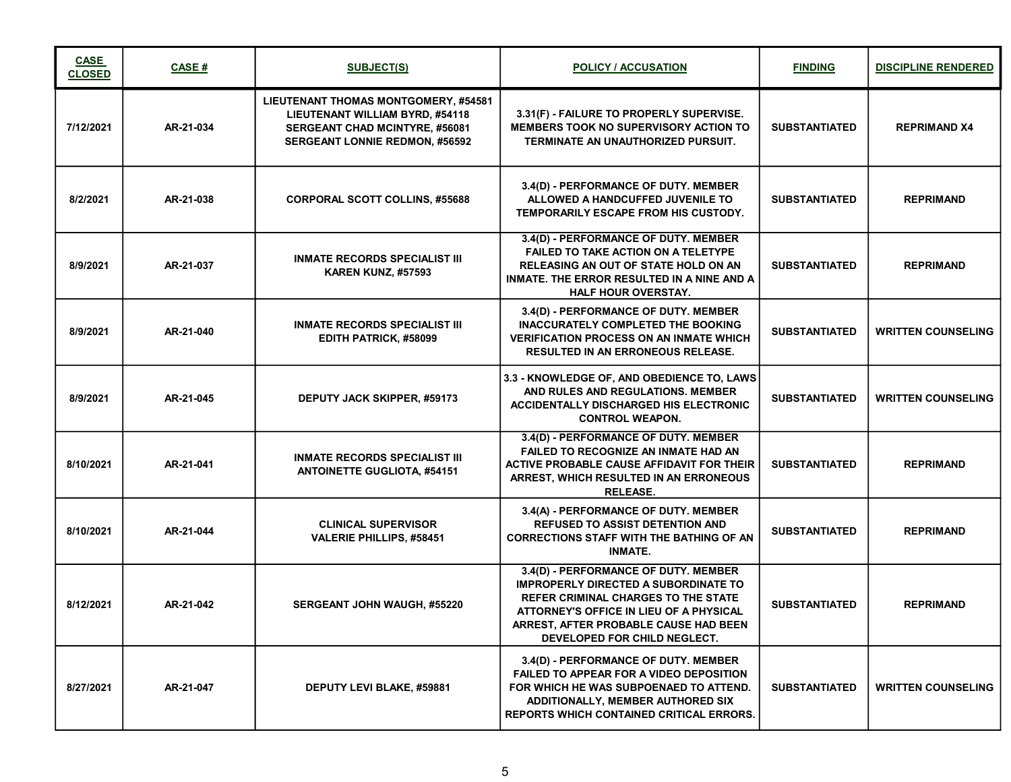| <b>CASE</b><br><b>CLOSED</b> | CASE#     | <b>SUBJECT(S)</b>                                                                                                                                         | <b>POLICY / ACCUSATION</b>                                                                                                                                                                                                                            | <b>FINDING</b>       | <b>DISCIPLINE RENDERED</b> |
|------------------------------|-----------|-----------------------------------------------------------------------------------------------------------------------------------------------------------|-------------------------------------------------------------------------------------------------------------------------------------------------------------------------------------------------------------------------------------------------------|----------------------|----------------------------|
| 7/12/2021                    | AR-21-034 | LIEUTENANT THOMAS MONTGOMERY, #54581<br><b>LIEUTENANT WILLIAM BYRD, #54118</b><br>SERGEANT CHAD MCINTYRE, #56081<br><b>SERGEANT LONNIE REDMON, #56592</b> | 3.31(F) - FAILURE TO PROPERLY SUPERVISE.<br><b>MEMBERS TOOK NO SUPERVISORY ACTION TO</b><br>TERMINATE AN UNAUTHORIZED PURSUIT.                                                                                                                        | <b>SUBSTANTIATED</b> | <b>REPRIMAND X4</b>        |
| 8/2/2021                     | AR-21-038 | <b>CORPORAL SCOTT COLLINS, #55688</b>                                                                                                                     | 3.4(D) - PERFORMANCE OF DUTY. MEMBER<br>ALLOWED A HANDCUFFED JUVENILE TO<br>TEMPORARILY ESCAPE FROM HIS CUSTODY.                                                                                                                                      | <b>SUBSTANTIATED</b> | <b>REPRIMAND</b>           |
| 8/9/2021                     | AR-21-037 | <b>INMATE RECORDS SPECIALIST III</b><br>KAREN KUNZ, #57593                                                                                                | 3.4(D) - PERFORMANCE OF DUTY. MEMBER<br>FAILED TO TAKE ACTION ON A TELETYPE<br><b>RELEASING AN OUT OF STATE HOLD ON AN</b><br>INMATE. THE ERROR RESULTED IN A NINE AND A<br><b>HALF HOUR OVERSTAY.</b>                                                | <b>SUBSTANTIATED</b> | <b>REPRIMAND</b>           |
| 8/9/2021                     | AR-21-040 | <b>INMATE RECORDS SPECIALIST III</b><br>EDITH PATRICK, #58099                                                                                             | 3.4(D) - PERFORMANCE OF DUTY. MEMBER<br><b>INACCURATELY COMPLETED THE BOOKING</b><br><b>VERIFICATION PROCESS ON AN INMATE WHICH</b><br><b>RESULTED IN AN ERRONEOUS RELEASE.</b>                                                                       | <b>SUBSTANTIATED</b> | <b>WRITTEN COUNSELING</b>  |
| 8/9/2021                     | AR-21-045 | <b>DEPUTY JACK SKIPPER, #59173</b>                                                                                                                        | 3.3 - KNOWLEDGE OF, AND OBEDIENCE TO, LAWS<br>AND RULES AND REGULATIONS. MEMBER<br><b>ACCIDENTALLY DISCHARGED HIS ELECTRONIC</b><br><b>CONTROL WEAPON.</b>                                                                                            | <b>SUBSTANTIATED</b> | <b>WRITTEN COUNSELING</b>  |
| 8/10/2021                    | AR-21-041 | <b>INMATE RECORDS SPECIALIST III</b><br><b>ANTOINETTE GUGLIOTA, #54151</b>                                                                                | 3.4(D) - PERFORMANCE OF DUTY. MEMBER<br><b>FAILED TO RECOGNIZE AN INMATE HAD AN</b><br>ACTIVE PROBABLE CAUSE AFFIDAVIT FOR THEIR<br>ARREST, WHICH RESULTED IN AN ERRONEOUS<br><b>RELEASE.</b>                                                         | <b>SUBSTANTIATED</b> | <b>REPRIMAND</b>           |
| 8/10/2021                    | AR-21-044 | <b>CLINICAL SUPERVISOR</b><br><b>VALERIE PHILLIPS, #58451</b>                                                                                             | 3.4(A) - PERFORMANCE OF DUTY. MEMBER<br><b>REFUSED TO ASSIST DETENTION AND</b><br><b>CORRECTIONS STAFF WITH THE BATHING OF AN</b><br><b>INMATE.</b>                                                                                                   | <b>SUBSTANTIATED</b> | <b>REPRIMAND</b>           |
| 8/12/2021                    | AR-21-042 | SERGEANT JOHN WAUGH, #55220                                                                                                                               | 3.4(D) - PERFORMANCE OF DUTY. MEMBER<br><b>IMPROPERLY DIRECTED A SUBORDINATE TO</b><br><b>REFER CRIMINAL CHARGES TO THE STATE</b><br>ATTORNEY'S OFFICE IN LIEU OF A PHYSICAL<br>ARREST, AFTER PROBABLE CAUSE HAD BEEN<br>DEVELOPED FOR CHILD NEGLECT. | <b>SUBSTANTIATED</b> | <b>REPRIMAND</b>           |
| 8/27/2021                    | AR-21-047 | DEPUTY LEVI BLAKE, #59881                                                                                                                                 | 3.4(D) - PERFORMANCE OF DUTY. MEMBER<br><b>FAILED TO APPEAR FOR A VIDEO DEPOSITION</b><br>FOR WHICH HE WAS SUBPOENAED TO ATTEND.<br>ADDITIONALLY, MEMBER AUTHORED SIX<br><b>REPORTS WHICH CONTAINED CRITICAL ERRORS.</b>                              | <b>SUBSTANTIATED</b> | <b>WRITTEN COUNSELING</b>  |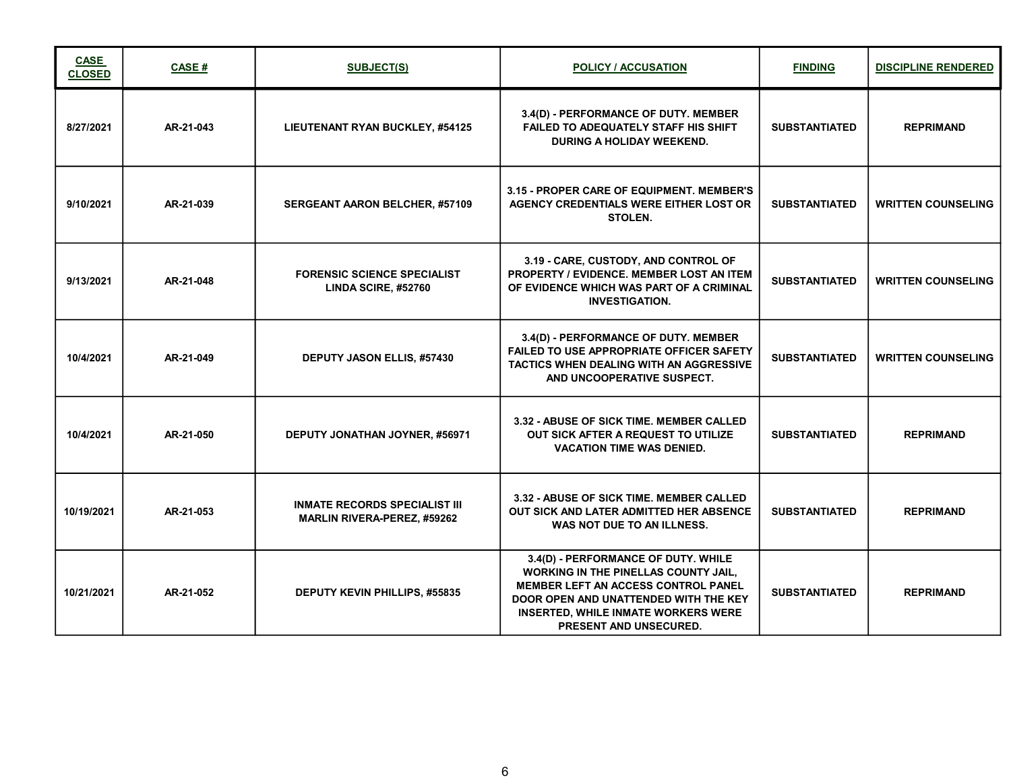| <b>CASE</b><br><b>CLOSED</b> | CASE#     | <b>SUBJECT(S)</b>                                                          | <b>POLICY / ACCUSATION</b>                                                                                                                                                                                                                               | <b>FINDING</b>       | <b>DISCIPLINE RENDERED</b> |
|------------------------------|-----------|----------------------------------------------------------------------------|----------------------------------------------------------------------------------------------------------------------------------------------------------------------------------------------------------------------------------------------------------|----------------------|----------------------------|
| 8/27/2021                    | AR-21-043 | LIEUTENANT RYAN BUCKLEY, #54125                                            | 3.4(D) - PERFORMANCE OF DUTY. MEMBER<br><b>FAILED TO ADEQUATELY STAFF HIS SHIFT</b><br>DURING A HOLIDAY WEEKEND.                                                                                                                                         | <b>SUBSTANTIATED</b> | <b>REPRIMAND</b>           |
| 9/10/2021                    | AR-21-039 | SERGEANT AARON BELCHER, #57109                                             | <b>3.15 - PROPER CARE OF EQUIPMENT. MEMBER'S</b><br><b>AGENCY CREDENTIALS WERE EITHER LOST OR</b><br><b>STOLEN.</b>                                                                                                                                      | <b>SUBSTANTIATED</b> | <b>WRITTEN COUNSELING</b>  |
| 9/13/2021                    | AR-21-048 | <b>FORENSIC SCIENCE SPECIALIST</b><br>LINDA SCIRE, #52760                  | 3.19 - CARE, CUSTODY, AND CONTROL OF<br>PROPERTY / EVIDENCE. MEMBER LOST AN ITEM<br>OF EVIDENCE WHICH WAS PART OF A CRIMINAL<br><b>INVESTIGATION.</b>                                                                                                    | <b>SUBSTANTIATED</b> | <b>WRITTEN COUNSELING</b>  |
| 10/4/2021                    | AR-21-049 | <b>DEPUTY JASON ELLIS, #57430</b>                                          | 3.4(D) - PERFORMANCE OF DUTY. MEMBER<br><b>FAILED TO USE APPROPRIATE OFFICER SAFETY</b><br><b>TACTICS WHEN DEALING WITH AN AGGRESSIVE</b><br>AND UNCOOPERATIVE SUSPECT.                                                                                  | <b>SUBSTANTIATED</b> | <b>WRITTEN COUNSELING</b>  |
| 10/4/2021                    | AR-21-050 | DEPUTY JONATHAN JOYNER, #56971                                             | 3.32 - ABUSE OF SICK TIME. MEMBER CALLED<br>OUT SICK AFTER A REQUEST TO UTILIZE<br><b>VACATION TIME WAS DENIED.</b>                                                                                                                                      | <b>SUBSTANTIATED</b> | <b>REPRIMAND</b>           |
| 10/19/2021                   | AR-21-053 | <b>INMATE RECORDS SPECIALIST III</b><br><b>MARLIN RIVERA-PEREZ, #59262</b> | 3.32 - ABUSE OF SICK TIME. MEMBER CALLED<br>OUT SICK AND LATER ADMITTED HER ABSENCE<br>WAS NOT DUE TO AN ILLNESS.                                                                                                                                        | <b>SUBSTANTIATED</b> | <b>REPRIMAND</b>           |
| 10/21/2021                   | AR-21-052 | DEPUTY KEVIN PHILLIPS, #55835                                              | 3.4(D) - PERFORMANCE OF DUTY. WHILE<br><b>WORKING IN THE PINELLAS COUNTY JAIL,</b><br><b>MEMBER LEFT AN ACCESS CONTROL PANEL</b><br>DOOR OPEN AND UNATTENDED WITH THE KEY<br><b>INSERTED, WHILE INMATE WORKERS WERE</b><br><b>PRESENT AND UNSECURED.</b> | <b>SUBSTANTIATED</b> | <b>REPRIMAND</b>           |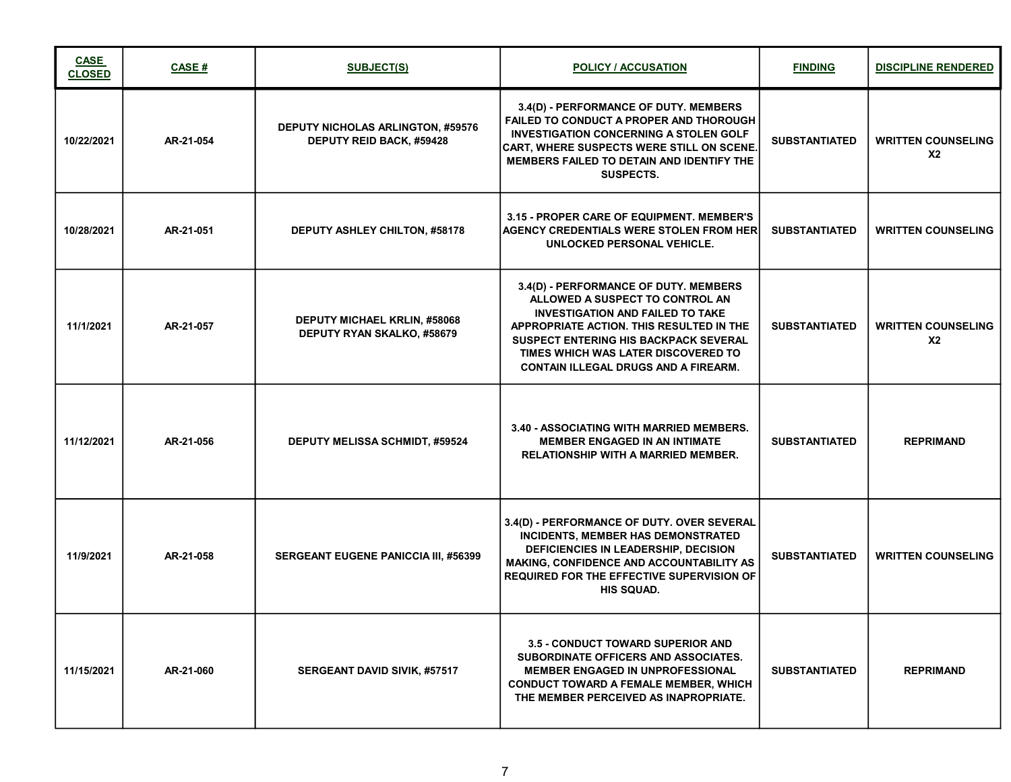| <b>CASE</b><br><b>CLOSED</b> | CASE#     | <b>SUBJECT(S)</b>                                                    | <b>POLICY / ACCUSATION</b>                                                                                                                                                                                                                                                                            | <b>FINDING</b>       | <b>DISCIPLINE RENDERED</b>                  |
|------------------------------|-----------|----------------------------------------------------------------------|-------------------------------------------------------------------------------------------------------------------------------------------------------------------------------------------------------------------------------------------------------------------------------------------------------|----------------------|---------------------------------------------|
| 10/22/2021                   | AR-21-054 | <b>DEPUTY NICHOLAS ARLINGTON, #59576</b><br>DEPUTY REID BACK, #59428 | 3.4(D) - PERFORMANCE OF DUTY. MEMBERS<br><b>FAILED TO CONDUCT A PROPER AND THOROUGH</b><br><b>INVESTIGATION CONCERNING A STOLEN GOLF</b><br><b>CART, WHERE SUSPECTS WERE STILL ON SCENE.</b><br>MEMBERS FAILED TO DETAIN AND IDENTIFY THE<br>SUSPECTS.                                                | <b>SUBSTANTIATED</b> | <b>WRITTEN COUNSELING</b><br><b>X2</b>      |
| 10/28/2021                   | AR-21-051 | <b>DEPUTY ASHLEY CHILTON, #58178</b>                                 | 3.15 - PROPER CARE OF EQUIPMENT. MEMBER'S<br><b>AGENCY CREDENTIALS WERE STOLEN FROM HER</b><br>UNLOCKED PERSONAL VEHICLE.                                                                                                                                                                             | <b>SUBSTANTIATED</b> | <b>WRITTEN COUNSELING</b>                   |
| 11/1/2021                    | AR-21-057 | <b>DEPUTY MICHAEL KRLIN, #58068</b><br>DEPUTY RYAN SKALKO, #58679    | 3.4(D) - PERFORMANCE OF DUTY. MEMBERS<br>ALLOWED A SUSPECT TO CONTROL AN<br><b>INVESTIGATION AND FAILED TO TAKE</b><br>APPROPRIATE ACTION. THIS RESULTED IN THE<br><b>SUSPECT ENTERING HIS BACKPACK SEVERAL</b><br>TIMES WHICH WAS LATER DISCOVERED TO<br><b>CONTAIN ILLEGAL DRUGS AND A FIREARM.</b> | <b>SUBSTANTIATED</b> | <b>WRITTEN COUNSELING</b><br>X <sub>2</sub> |
| 11/12/2021                   | AR-21-056 | <b>DEPUTY MELISSA SCHMIDT, #59524</b>                                | 3.40 - ASSOCIATING WITH MARRIED MEMBERS.<br><b>MEMBER ENGAGED IN AN INTIMATE</b><br><b>RELATIONSHIP WITH A MARRIED MEMBER.</b>                                                                                                                                                                        | <b>SUBSTANTIATED</b> | <b>REPRIMAND</b>                            |
| 11/9/2021                    | AR-21-058 | SERGEANT EUGENE PANICCIA III, #56399                                 | 3.4(D) - PERFORMANCE OF DUTY. OVER SEVERAL<br><b>INCIDENTS, MEMBER HAS DEMONSTRATED</b><br>DEFICIENCIES IN LEADERSHIP, DECISION<br><b>MAKING, CONFIDENCE AND ACCOUNTABILITY AS</b><br><b>REQUIRED FOR THE EFFECTIVE SUPERVISION OF</b><br><b>HIS SQUAD.</b>                                           | <b>SUBSTANTIATED</b> | <b>WRITTEN COUNSELING</b>                   |
| 11/15/2021                   | AR-21-060 | <b>SERGEANT DAVID SIVIK, #57517</b>                                  | <b>3.5 - CONDUCT TOWARD SUPERIOR AND</b><br>SUBORDINATE OFFICERS AND ASSOCIATES.<br><b>MEMBER ENGAGED IN UNPROFESSIONAL</b><br><b>CONDUCT TOWARD A FEMALE MEMBER, WHICH</b><br>THE MEMBER PERCEIVED AS INAPROPRIATE.                                                                                  | <b>SUBSTANTIATED</b> | <b>REPRIMAND</b>                            |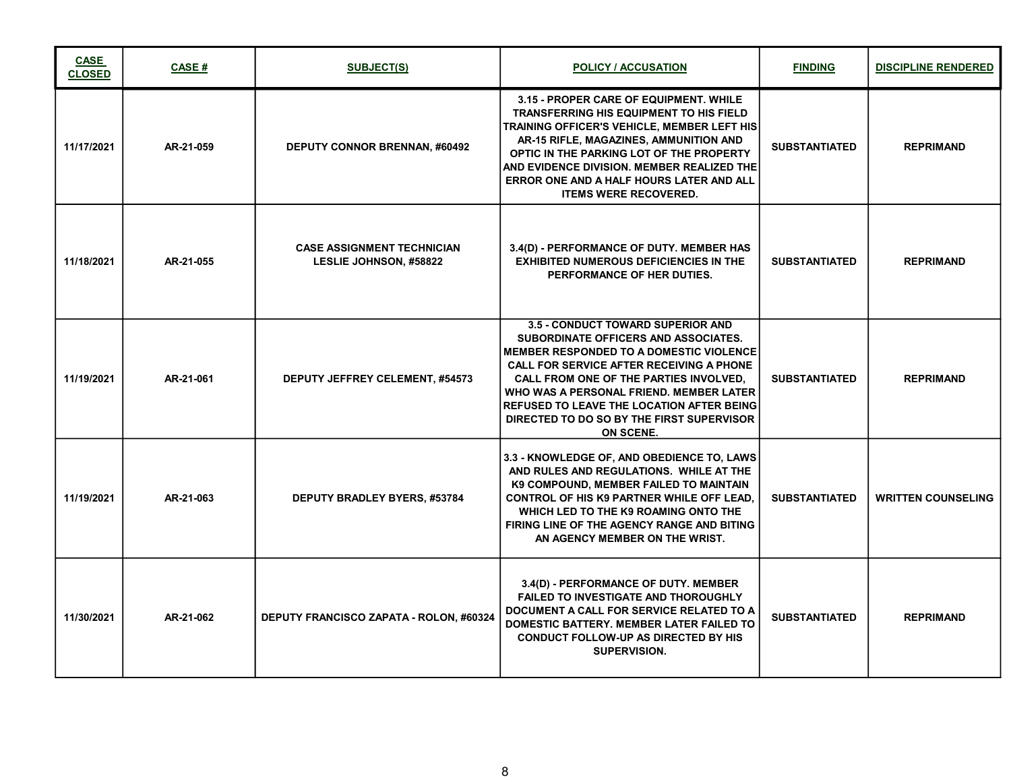| <b>CASE</b><br><b>CLOSED</b> | <b>CASE#</b> | <b>SUBJECT(S)</b>                                                  | <b>POLICY / ACCUSATION</b>                                                                                                                                                                                                                                                                                                                                                                      | <b>FINDING</b>       | <b>DISCIPLINE RENDERED</b> |
|------------------------------|--------------|--------------------------------------------------------------------|-------------------------------------------------------------------------------------------------------------------------------------------------------------------------------------------------------------------------------------------------------------------------------------------------------------------------------------------------------------------------------------------------|----------------------|----------------------------|
| 11/17/2021                   | AR-21-059    | <b>DEPUTY CONNOR BRENNAN, #60492</b>                               | 3.15 - PROPER CARE OF EQUIPMENT. WHILE<br><b>TRANSFERRING HIS EQUIPMENT TO HIS FIELD</b><br>TRAINING OFFICER'S VEHICLE, MEMBER LEFT HIS <br>AR-15 RIFLE, MAGAZINES, AMMUNITION AND<br>OPTIC IN THE PARKING LOT OF THE PROPERTY<br>AND EVIDENCE DIVISION. MEMBER REALIZED THE<br>ERROR ONE AND A HALF HOURS LATER AND ALL<br><b>ITEMS WERE RECOVERED.</b>                                        | <b>SUBSTANTIATED</b> | <b>REPRIMAND</b>           |
| 11/18/2021                   | AR-21-055    | <b>CASE ASSIGNMENT TECHNICIAN</b><br><b>LESLIE JOHNSON, #58822</b> | 3.4(D) - PERFORMANCE OF DUTY. MEMBER HAS<br><b>EXHIBITED NUMEROUS DEFICIENCIES IN THE</b><br>PERFORMANCE OF HER DUTIES.                                                                                                                                                                                                                                                                         | <b>SUBSTANTIATED</b> | <b>REPRIMAND</b>           |
| 11/19/2021                   | AR-21-061    | <b>DEPUTY JEFFREY CELEMENT, #54573</b>                             | <b>3.5 - CONDUCT TOWARD SUPERIOR AND</b><br>SUBORDINATE OFFICERS AND ASSOCIATES.<br><b>MEMBER RESPONDED TO A DOMESTIC VIOLENCE</b><br><b>CALL FOR SERVICE AFTER RECEIVING A PHONE</b><br>CALL FROM ONE OF THE PARTIES INVOLVED.<br>WHO WAS A PERSONAL FRIEND. MEMBER LATER<br><b>REFUSED TO LEAVE THE LOCATION AFTER BEING</b><br>DIRECTED TO DO SO BY THE FIRST SUPERVISOR<br><b>ON SCENE.</b> | <b>SUBSTANTIATED</b> | <b>REPRIMAND</b>           |
| 11/19/2021                   | AR-21-063    | <b>DEPUTY BRADLEY BYERS, #53784</b>                                | 3.3 - KNOWLEDGE OF, AND OBEDIENCE TO, LAWS<br>AND RULES AND REGULATIONS. WHILE AT THE<br>K9 COMPOUND, MEMBER FAILED TO MAINTAIN<br><b>CONTROL OF HIS K9 PARTNER WHILE OFF LEAD.</b><br>WHICH LED TO THE K9 ROAMING ONTO THE<br>FIRING LINE OF THE AGENCY RANGE AND BITING<br>AN AGENCY MEMBER ON THE WRIST.                                                                                     | <b>SUBSTANTIATED</b> | <b>WRITTEN COUNSELING</b>  |
| 11/30/2021                   | AR-21-062    | DEPUTY FRANCISCO ZAPATA - ROLON, #60324                            | 3.4(D) - PERFORMANCE OF DUTY. MEMBER<br><b>FAILED TO INVESTIGATE AND THOROUGHLY</b><br>DOCUMENT A CALL FOR SERVICE RELATED TO A<br>DOMESTIC BATTERY. MEMBER LATER FAILED TO<br><b>CONDUCT FOLLOW-UP AS DIRECTED BY HIS</b><br><b>SUPERVISION.</b>                                                                                                                                               | <b>SUBSTANTIATED</b> | <b>REPRIMAND</b>           |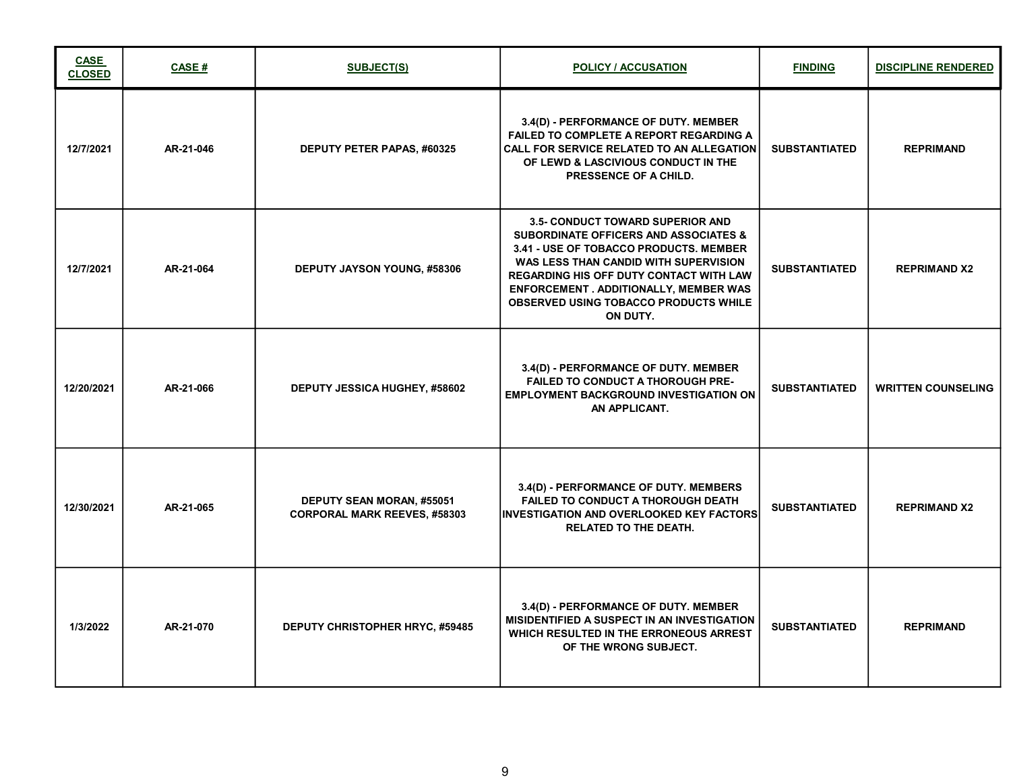| <b>CASE</b><br><b>CLOSED</b> | <b>CASE#</b> | SUBJECT(S)                                                       | <b>POLICY / ACCUSATION</b>                                                                                                                                                                                                                                                                                                             | <b>FINDING</b>       | <b>DISCIPLINE RENDERED</b> |
|------------------------------|--------------|------------------------------------------------------------------|----------------------------------------------------------------------------------------------------------------------------------------------------------------------------------------------------------------------------------------------------------------------------------------------------------------------------------------|----------------------|----------------------------|
| 12/7/2021                    | AR-21-046    | DEPUTY PETER PAPAS, #60325                                       | 3.4(D) - PERFORMANCE OF DUTY. MEMBER<br><b>FAILED TO COMPLETE A REPORT REGARDING A</b><br>CALL FOR SERVICE RELATED TO AN ALLEGATION<br>OF LEWD & LASCIVIOUS CONDUCT IN THE<br>PRESSENCE OF A CHILD.                                                                                                                                    | <b>SUBSTANTIATED</b> | <b>REPRIMAND</b>           |
| 12/7/2021                    | AR-21-064    | <b>DEPUTY JAYSON YOUNG, #58306</b>                               | <b>3.5- CONDUCT TOWARD SUPERIOR AND</b><br><b>SUBORDINATE OFFICERS AND ASSOCIATES &amp;</b><br>3.41 - USE OF TOBACCO PRODUCTS, MEMBER<br>WAS LESS THAN CANDID WITH SUPERVISION<br><b>REGARDING HIS OFF DUTY CONTACT WITH LAW</b><br>ENFORCEMENT . ADDITIONALLY, MEMBER WAS<br><b>OBSERVED USING TOBACCO PRODUCTS WHILE</b><br>ON DUTY. | <b>SUBSTANTIATED</b> | <b>REPRIMAND X2</b>        |
| 12/20/2021                   | AR-21-066    | DEPUTY JESSICA HUGHEY, #58602                                    | 3.4(D) - PERFORMANCE OF DUTY. MEMBER<br><b>FAILED TO CONDUCT A THOROUGH PRE-</b><br><b>EMPLOYMENT BACKGROUND INVESTIGATION ON</b><br>AN APPLICANT.                                                                                                                                                                                     | <b>SUBSTANTIATED</b> | <b>WRITTEN COUNSELING</b>  |
| 12/30/2021                   | AR-21-065    | DEPUTY SEAN MORAN, #55051<br><b>CORPORAL MARK REEVES, #58303</b> | 3.4(D) - PERFORMANCE OF DUTY. MEMBERS<br><b>FAILED TO CONDUCT A THOROUGH DEATH</b><br><b>IINVESTIGATION AND OVERLOOKED KEY FACTORS</b><br><b>RELATED TO THE DEATH.</b>                                                                                                                                                                 | <b>SUBSTANTIATED</b> | <b>REPRIMAND X2</b>        |
| 1/3/2022                     | AR-21-070    | <b>DEPUTY CHRISTOPHER HRYC, #59485</b>                           | 3.4(D) - PERFORMANCE OF DUTY. MEMBER<br>MISIDENTIFIED A SUSPECT IN AN INVESTIGATION<br>WHICH RESULTED IN THE ERRONEOUS ARREST<br>OF THE WRONG SUBJECT.                                                                                                                                                                                 | <b>SUBSTANTIATED</b> | <b>REPRIMAND</b>           |